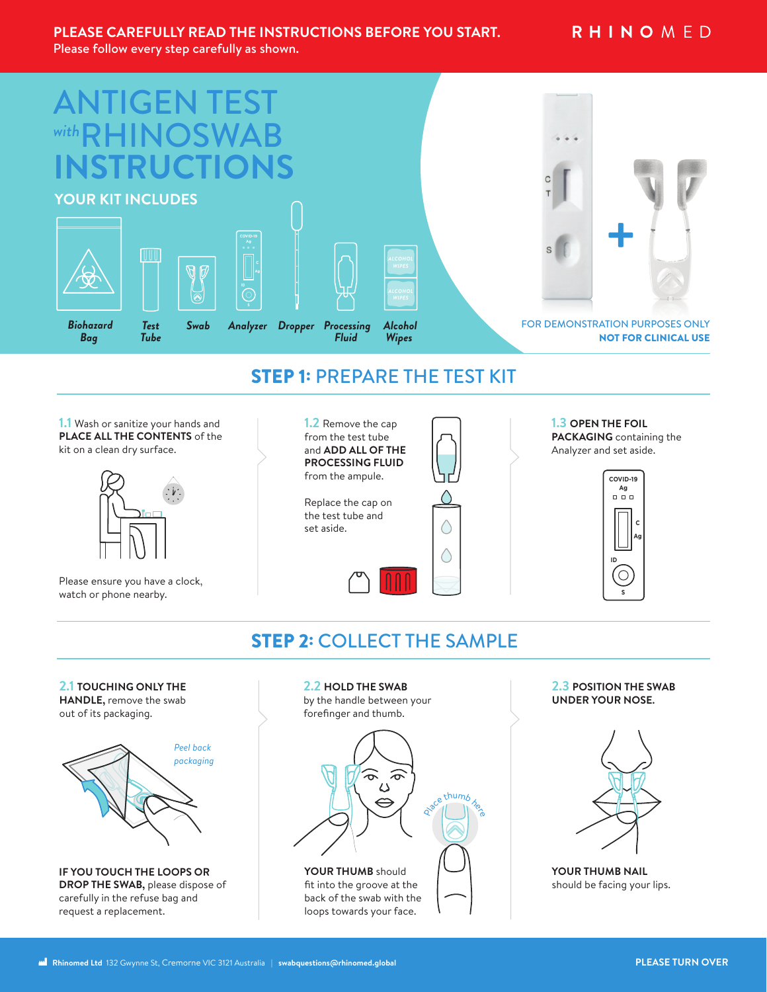### **PLEASE CAREFULLY READ THE INSTRUCTIONS BEFORE YOU START.**

Please follow every step carefully as shown.



## STEP 1: PREPARE THE TEST KIT

**1.1** Wash or sanitize your hands and **PLACE ALL THE CONTENTS** of the kit on a clean dry surface.



Please ensure you have a clock, watch or phone nearby.

**1.2** Remove the cap from the test tube and **ADD ALL OF THE PROCESSING FLUID** from the ampule.

Replace the cap on the test tube and set aside.



**1.3 OPEN THE FOIL PACKAGING** containing the Analyzer and set aside.



## STEP 2: COLLECT THE SAMPLE

#### **2.1 TOUCHING ONLY THE**

**HANDLE,** remove the swab out of its packaging.



**IF YOU TOUCH THE LOOPS OR DROP THE SWAB,** please dispose of carefully in the refuse bag and request a replacement.

**2.2 HOLD THE SWAB** by the handle between your



**2.3 POSITION THE SWAB UNDER YOUR NOSE.**



**YOUR THUMB NAIL** should be facing your lips.